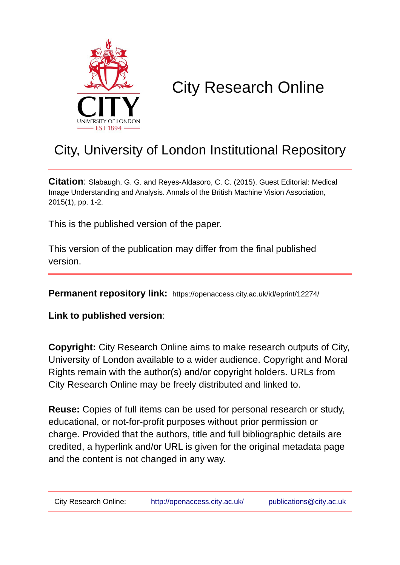

# City Research Online

### City, University of London Institutional Repository

**Citation**: Slabaugh, G. G. and Reyes-Aldasoro, C. C. (2015). Guest Editorial: Medical Image Understanding and Analysis. Annals of the British Machine Vision Association, 2015(1), pp. 1-2.

This is the published version of the paper.

This version of the publication may differ from the final published version.

**Permanent repository link:** https://openaccess.city.ac.uk/id/eprint/12274/

**Link to published version**:

**Copyright:** City Research Online aims to make research outputs of City, University of London available to a wider audience. Copyright and Moral Rights remain with the author(s) and/or copyright holders. URLs from City Research Online may be freely distributed and linked to.

**Reuse:** Copies of full items can be used for personal research or study, educational, or not-for-profit purposes without prior permission or charge. Provided that the authors, title and full bibliographic details are credited, a hyperlink and/or URL is given for the original metadata page and the content is not changed in any way.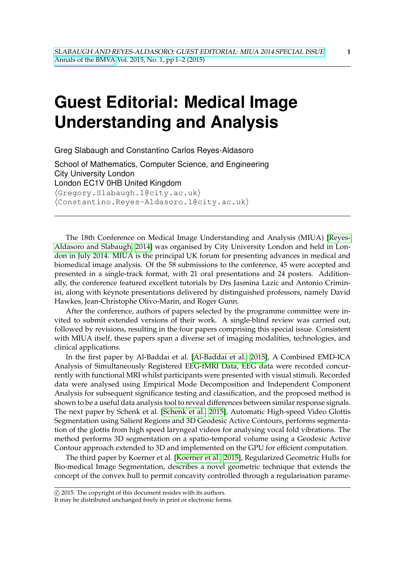## **Guest Editorial: Medical Image Understanding and Analysis**

Greg Slabaugh and Constantino Carlos Reyes-Aldasoro

School of Mathematics, Computer Science, and Engineering City University London London EC1V 0HB United Kingdom  $\langle$ Gregory.Slabaugh.1@city.ac.uk $\rangle$  $\langle$ Constantino.Reyes-Aldasoro.1@city.ac.uk $\rangle$ 

The 18th Conference on Medical Image Understanding and Analysis (MIUA) [\[Reyes-](#page-2-0)[Aldasoro and Slabaugh, 2014\]](#page-2-0) was organised by City University London and held in London in July 2014. MIUA is the principal UK forum for presenting advances in medical and biomedical image analysis. Of the 58 submissions to the conference, 45 were accepted and presented in a single-track format, with 21 oral presentations and 24 posters. Additionally, the conference featured excellent tutorials by Drs Jasmina Lazic and Antonio Criminisi, along with keynote presentations delivered by distinguished professors, namely David Hawkes, Jean-Christophe Olivo-Marin, and Roger Gunn.

After the conference, authors of papers selected by the programme committee were invited to submit extended versions of their work. A single-blind review was carried out, followed by revisions, resulting in the four papers comprising this special issue. Consistent with MIUA itself, these papers span a diverse set of imaging modalities, technologies, and clinical applications.

In the first paper by Al-Baddai et al. [\[Al-Baddai et al., 2015\]](#page-2-1), A Combined EMD-ICA Analysis of Simultaneously Registered EEG-fMRI Data, EEG data were recorded concurrently with functional MRI whilst participants were presented with visual stimuli. Recorded data were analysed using Empirical Mode Decomposition and Independent Component Analysis for subsequent significance testing and classification, and the proposed method is shown to be a useful data analysis tool to reveal differences between similar response signals. The next paper by Schenk et al. [\[Schenk et al., 2015\]](#page-2-2), Automatic High-speed Video Glottis Segmentation using Salient Regions and 3D Geodesic Active Contours, performs segmentation of the glottis from high speed laryngeal videos for analysing vocal fold vibrations. The method performs 3D segmentation on a spatio-temporal volume using a Geodesic Active Contour approach extended to 3D and implemented on the GPU for efficient computation.

The third paper by Koerner et al. [\[Koerner et al., 2015\]](#page-2-3), Regularized Geometric Hulls for Bio-medical Image Segmentation, describes a novel geometric technique that extends the concept of the convex hull to permit concavity controlled through a regularisation parame-

c 2015. The copyright of this document resides with its authors.

It may be distributed unchanged freely in print or electronic forms.